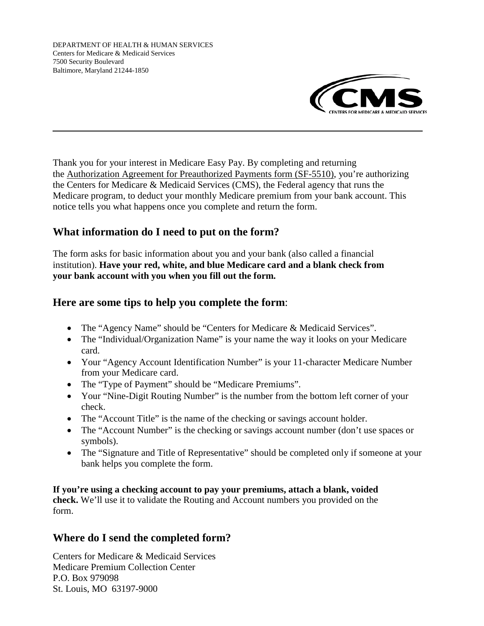

Thank you for your interest in Medicare Easy Pay. By completing and returning the Authorization Agreement for Preauthorized Payments form (SF-5510), you're authorizing the Centers for Medicare & Medicaid Services (CMS), the Federal agency that runs the Medicare program, to deduct your monthly Medicare premium from your bank account. This notice tells you what happens once you complete and return the form.

# **What information do I need to put on the form?**

The form asks for basic information about you and your bank (also called a financial institution). **Have your red, white, and blue Medicare card and a blank check from your bank account with you when you fill out the form.**

### **Here are some tips to help you complete the form**:

- The "Agency Name" should be "Centers for Medicare & Medicaid Services".
- The "Individual/Organization Name" is your name the way it looks on your Medicare card.
- Your "Agency Account Identification Number" is your 11-character Medicare Number from your Medicare card.
- The "Type of Payment" should be "Medicare Premiums".
- Your "Nine-Digit Routing Number" is the number from the bottom left corner of your check.
- The "Account Title" is the name of the checking or savings account holder.
- The "Account Number" is the checking or savings account number (don't use spaces or symbols).
- The "Signature and Title of Representative" should be completed only if someone at your bank helps you complete the form.

**If you're using a checking account to pay your premiums, attach a blank, voided check.** We'll use it to validate the Routing and Account numbers you provided on the form.

## **Where do I send the completed form?**

Centers for Medicare & Medicaid Services Medicare Premium Collection Center P.O. Box 979098 St. Louis, MO 63197-9000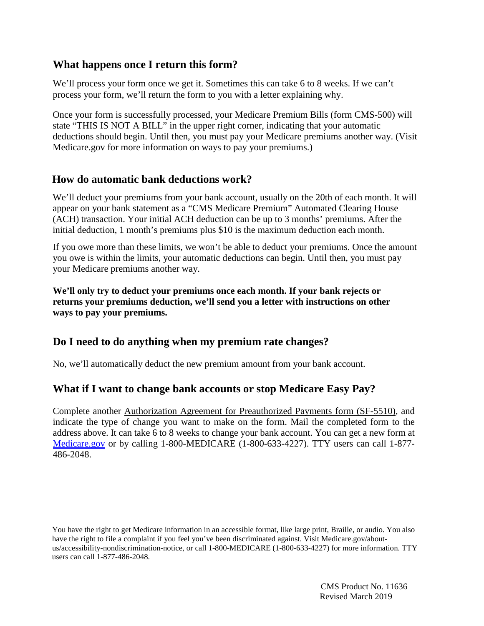### **What happens once I return this form?**

We'll process your form once we get it. Sometimes this can take 6 to 8 weeks. If we can't process your form, we'll return the form to you with a letter explaining why.

Once your form is successfully processed, your Medicare Premium Bills (form CMS-500) will state "THIS IS NOT A BILL" in the upper right corner, indicating that your automatic deductions should begin. Until then, you must pay your Medicare premiums another way. (Visit Medicare.gov for more information on ways to pay your premiums.)

#### **How do automatic bank deductions work?**

We'll deduct your premiums from your bank account, usually on the 20th of each month. It will appear on your bank statement as a "CMS Medicare Premium" Automated Clearing House (ACH) transaction. Your initial ACH deduction can be up to 3 months' premiums. After the initial deduction, 1 month's premiums plus \$10 is the maximum deduction each month.

If you owe more than these limits, we won't be able to deduct your premiums. Once the amount you owe is within the limits, your automatic deductions can begin. Until then, you must pay your Medicare premiums another way.

**We'll only try to deduct your premiums once each month. If your bank rejects or returns your premiums deduction, we'll send you a letter with instructions on other ways to pay your premiums.** 

#### **Do I need to do anything when my premium rate changes?**

No, we'll automatically deduct the new premium amount from your bank account.

#### **What if I want to change bank accounts or stop Medicare Easy Pay?**

Complete another Authorization Agreement for Preauthorized Payments form (SF-5510), and indicate the type of change you want to make on the form. Mail the completed form to the address above. It can take 6 to 8 weeks to change your bank account. You can get a new form at [Medicare.gov](http://www.medicare.gov/) or by calling 1-800-MEDICARE (1-800-633-4227). TTY users can call 1-877-486-2048.

You have the right to get Medicare information in an accessible format, like large print, Braille, or audio. You also have the right to file a complaint if you feel you've been discriminated against. Visit Medicare.gov/aboutus/accessibility-nondiscrimination-notice, or call 1-800-MEDICARE (1-800-633-4227) for more information. TTY users can call 1-877-486-2048.

> CMS Product No. 11636 Revised March 2019